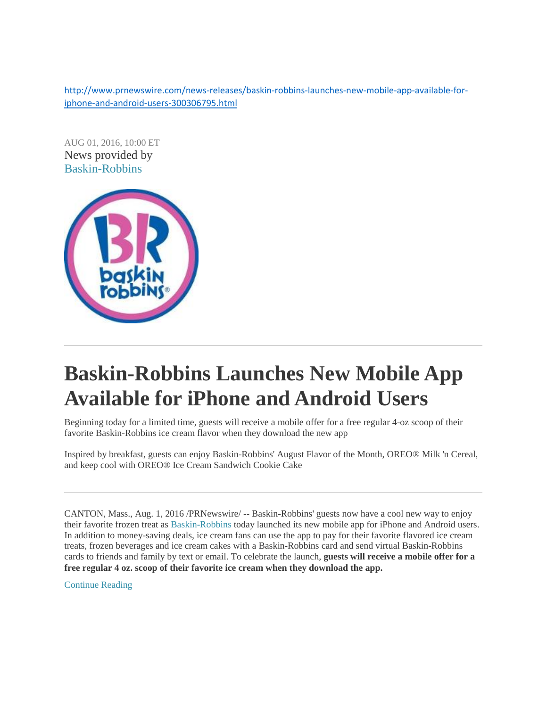[http://www.prnewswire.com/news-releases/baskin-robbins-launches-new-mobile-app-available-for](http://www.prnewswire.com/news-releases/baskin-robbins-launches-new-mobile-app-available-for-iphone-and-android-users-300306795.html)[iphone-and-android-users-300306795.html](http://www.prnewswire.com/news-releases/baskin-robbins-launches-new-mobile-app-available-for-iphone-and-android-users-300306795.html)

AUG 01, 2016, 10:00 ET News provided by [Baskin-Robbins](http://www.prnewswire.com/news/baskin-robbins) 



# **Baskin-Robbins Launches New Mobile App Available for iPhone and Android Users**

Beginning today for a limited time, guests will receive a mobile offer for a free regular 4-oz scoop of their favorite Baskin-Robbins ice cream flavor when they download the new app

Inspired by breakfast, guests can enjoy Baskin-Robbins' August Flavor of the Month, OREO® Milk 'n Cereal, and keep cool with OREO® Ice Cream Sandwich Cookie Cake

CANTON, Mass., Aug. 1, 2016 /PRNewswire/ -- Baskin-Robbins' guests now have a cool new way to enjoy their favorite frozen treat as [Baskin-Robbins](http://www.baskinrobbins.com/) today launched its new mobile app for iPhone and Android users. In addition to money-saving deals, ice cream fans can use the app to pay for their favorite flavored ice cream treats, frozen beverages and ice cream cakes with a Baskin-Robbins card and send virtual Baskin-Robbins cards to friends and family by text or email. To celebrate the launch, **guests will receive a mobile offer for a free regular 4 oz. scoop of their favorite ice cream when they download the app.** 

[Continue Reading](http://www.prnewswire.com/news-releases/baskin-robbins-launches-new-mobile-app-available-for-iphone-and-android-users-300306795.html#continue-jump)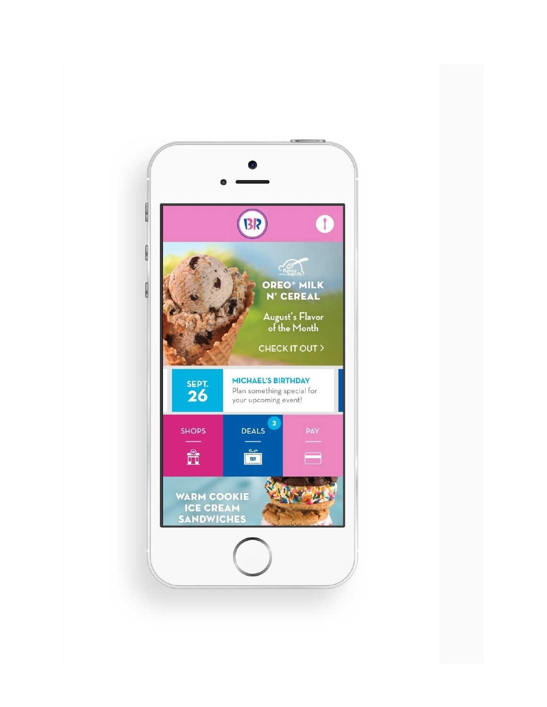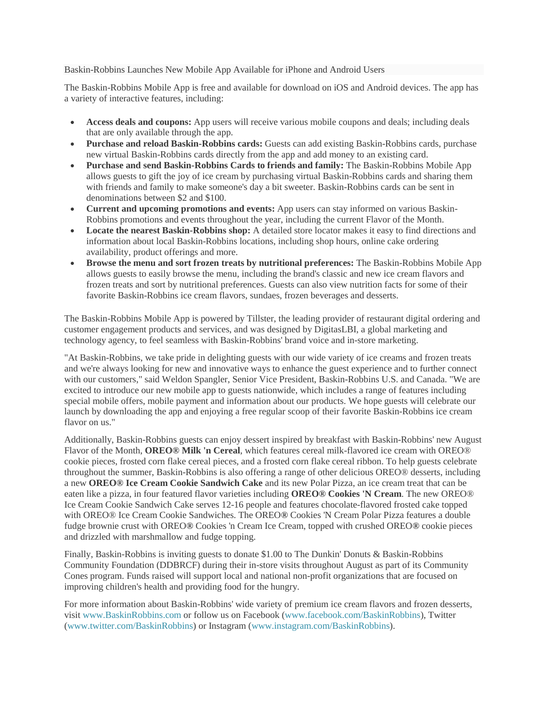#### Baskin-Robbins Launches New Mobile App Available for iPhone and Android Users

The Baskin-Robbins Mobile App is free and available for download on iOS and Android devices. The app has a variety of interactive features, including:

- **Access deals and coupons:** App users will receive various mobile coupons and deals; including deals that are only available through the app.
- **Purchase and reload Baskin-Robbins cards:** Guests can add existing Baskin-Robbins cards, purchase new virtual Baskin-Robbins cards directly from the app and add money to an existing card.
- **Purchase and send Baskin-Robbins Cards to friends and family:** The Baskin-Robbins Mobile App allows guests to gift the joy of ice cream by purchasing virtual Baskin-Robbins cards and sharing them with friends and family to make someone's day a bit sweeter. Baskin-Robbins cards can be sent in denominations between \$2 and \$100.
- **Current and upcoming promotions and events:** App users can stay informed on various Baskin-Robbins promotions and events throughout the year, including the current Flavor of the Month.
- **Locate the nearest Baskin-Robbins shop:** A detailed store locator makes it easy to find directions and information about local Baskin-Robbins locations, including shop hours, online cake ordering availability, product offerings and more.
- **Browse the menu and sort frozen treats by nutritional preferences:** The Baskin-Robbins Mobile App allows guests to easily browse the menu, including the brand's classic and new ice cream flavors and frozen treats and sort by nutritional preferences. Guests can also view nutrition facts for some of their favorite Baskin-Robbins ice cream flavors, sundaes, frozen beverages and desserts.

The Baskin-Robbins Mobile App is powered by Tillster, the leading provider of restaurant digital ordering and customer engagement products and services, and was designed by DigitasLBI, a global marketing and technology agency, to feel seamless with Baskin-Robbins' brand voice and in-store marketing.

"At Baskin-Robbins, we take pride in delighting guests with our wide variety of ice creams and frozen treats and we're always looking for new and innovative ways to enhance the guest experience and to further connect with our customers," said Weldon Spangler, Senior Vice President, Baskin-Robbins U.S. and Canada. "We are excited to introduce our new mobile app to guests nationwide, which includes a range of features including special mobile offers, mobile payment and information about our products. We hope guests will celebrate our launch by downloading the app and enjoying a free regular scoop of their favorite Baskin-Robbins ice cream flavor on us."

Additionally, Baskin-Robbins guests can enjoy dessert inspired by breakfast with Baskin-Robbins' new August Flavor of the Month, **OREO® Milk 'n Cereal**, which features cereal milk-flavored ice cream with OREO® cookie pieces, frosted corn flake cereal pieces, and a frosted corn flake cereal ribbon. To help guests celebrate throughout the summer, Baskin-Robbins is also offering a range of other delicious OREO® desserts, including a new **OREO® Ice Cream Cookie Sandwich Cake** and its new Polar Pizza, an ice cream treat that can be eaten like a pizza, in four featured flavor varieties including **OREO® Cookies 'N Cream**. The new OREO® Ice Cream Cookie Sandwich Cake serves 12-16 people and features chocolate-flavored frosted cake topped with OREO® Ice Cream Cookie Sandwiches. The OREO**®** Cookies 'N Cream Polar Pizza features a double fudge brownie crust with OREO**®** Cookies 'n Cream Ice Cream, topped with crushed OREO**®** cookie pieces and drizzled with marshmallow and fudge topping.

Finally, Baskin-Robbins is inviting guests to donate \$1.00 to The Dunkin' Donuts & Baskin-Robbins Community Foundation (DDBRCF) during their in-store visits throughout August as part of its Community Cones program. Funds raised will support local and national non-profit organizations that are focused on improving children's health and providing food for the hungry.

For more information about Baskin-Robbins' wide variety of premium ice cream flavors and frozen desserts, visit [www.BaskinRobbins.com](http://www.baskinrobbins.com/) or follow us on Facebook [\(www.facebook.com/BaskinRobbins\)](http://www.facebook.com/BaskinRobbins), Twitter [\(www.twitter.com/BaskinRobbins\)](http://www.twitter.com/BaskinRobbins) or Instagram [\(www.instagram.com/BaskinRobbins\)](http://www.instagram.com/BaskinRobbins).